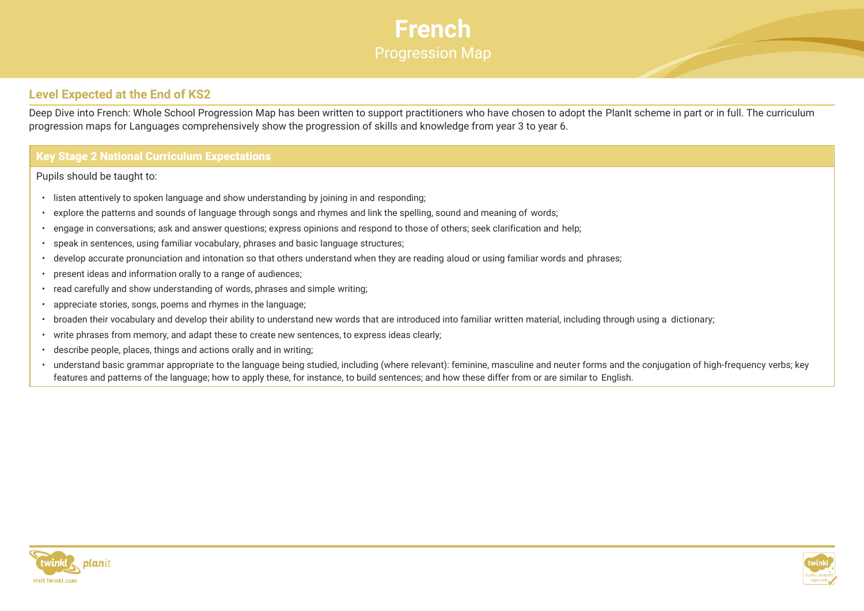

## **Level Expected at the End of KS2**

Deep Dive into French: Whole School Progression Map has been written to support practitioners who have chosen to adopt the PlanIt scheme in part or in full. The curriculum progression maps for Languages comprehensively show the progression of skills and knowledge from year 3 to year 6.

## **Key Stage 2 National Curriculum Expectations**

Pupils should be taught to:

- listen attentively to spoken language and show understanding by joining in and responding;
- explore the patterns and sounds of language through songs and rhymes and link the spelling, sound and meaning of words;
- engage in conversations; ask and answer questions; express opinions and respond to those of others; seek clarification and help;
- speak in sentences, using familiar vocabulary, phrases and basic language structures;
- develop accurate pronunciation and intonation so that others understand when they are reading aloud or using familiar words and phrases;
- present ideas and information orally to a range of audiences;
- read carefully and show understanding of words, phrases and simple writing;
- appreciate stories, songs, poems and rhymes in the language;
- broaden their vocabulary and develop their ability to understand new words that are introduced into familiar written material, including through using a dictionary;
- write phrases from memory, and adapt these to create new sentences, to express ideas clearly;
- describe people, places, things and actions orally and in writing;
- understand basic grammar appropriate to the language being studied, including (where relevant): feminine, masculine and neuter forms and the conjugation of high-frequency verbs; key features and patterns of the language; how to apply these, for instance, to build sentences; and how these differ from or are similar to English.



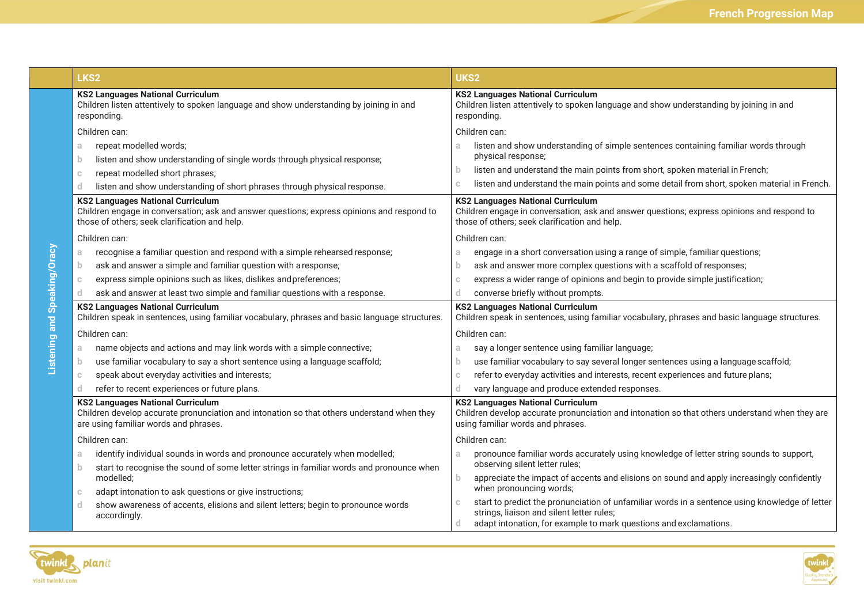|                              | LKS <sub>2</sub>                                                                                                                                                                        | UKS2                                                                                                                                                                                    |  |
|------------------------------|-----------------------------------------------------------------------------------------------------------------------------------------------------------------------------------------|-----------------------------------------------------------------------------------------------------------------------------------------------------------------------------------------|--|
|                              | <b>KS2 Languages National Curriculum</b><br>Children listen attentively to spoken language and show understanding by joining in and<br>responding.                                      | <b>KS2 Languages National Curriculum</b><br>Children listen attentively to spoken language and show understanding by joining in and<br>responding.                                      |  |
|                              | Children can:                                                                                                                                                                           | Children can:                                                                                                                                                                           |  |
|                              | repeat modelled words;<br>a<br>listen and show understanding of single words through physical response;<br>b.                                                                           | listen and show understanding of simple sentences containing familiar words through<br>physical response;                                                                               |  |
|                              | repeat modelled short phrases;<br>$\mathbb{C}$                                                                                                                                          | listen and understand the main points from short, spoken material in French;<br>b.                                                                                                      |  |
|                              | listen and show understanding of short phrases through physical response.<br>d.                                                                                                         | listen and understand the main points and some detail from short, spoken material in French.                                                                                            |  |
|                              | <b>KS2 Languages National Curriculum</b><br>Children engage in conversation; ask and answer questions; express opinions and respond to<br>those of others; seek clarification and help. | <b>KS2 Languages National Curriculum</b><br>Children engage in conversation; ask and answer questions; express opinions and respond to<br>those of others; seek clarification and help. |  |
|                              | Children can:                                                                                                                                                                           | Children can:                                                                                                                                                                           |  |
|                              | recognise a familiar question and respond with a simple rehearsed response;<br>a                                                                                                        | engage in a short conversation using a range of simple, familiar questions;<br>a                                                                                                        |  |
|                              | ask and answer a simple and familiar question with a response;<br>b.                                                                                                                    | ask and answer more complex questions with a scaffold of responses;<br>b                                                                                                                |  |
|                              | express simple opinions such as likes, dislikes and preferences;<br>$\mathbb{C}$                                                                                                        | express a wider range of opinions and begin to provide simple justification;                                                                                                            |  |
|                              | ask and answer at least two simple and familiar questions with a response.<br>d.                                                                                                        | converse briefly without prompts.<br>d                                                                                                                                                  |  |
| Listening and Speaking/Oracy | <b>KS2 Languages National Curriculum</b><br>Children speak in sentences, using familiar vocabulary, phrases and basic language structures.                                              | <b>KS2 Languages National Curriculum</b><br>Children speak in sentences, using familiar vocabulary, phrases and basic language structures.                                              |  |
|                              | Children can:                                                                                                                                                                           | Children can:                                                                                                                                                                           |  |
|                              | name objects and actions and may link words with a simple connective;<br>a                                                                                                              | say a longer sentence using familiar language;<br>a.                                                                                                                                    |  |
|                              | use familiar vocabulary to say a short sentence using a language scaffold;<br>b.                                                                                                        | use familiar vocabulary to say several longer sentences using a language scaffold;<br>b.                                                                                                |  |
|                              | speak about everyday activities and interests;<br>$\mathbb{C}$                                                                                                                          | refer to everyday activities and interests, recent experiences and future plans;                                                                                                        |  |
|                              | refer to recent experiences or future plans.<br>d.                                                                                                                                      | vary language and produce extended responses.                                                                                                                                           |  |
|                              | <b>KS2 Languages National Curriculum</b><br>Children develop accurate pronunciation and intonation so that others understand when they<br>are using familiar words and phrases.         | <b>KS2 Languages National Curriculum</b><br>Children develop accurate pronunciation and intonation so that others understand when they are<br>using familiar words and phrases.         |  |
|                              | Children can:                                                                                                                                                                           | Children can:                                                                                                                                                                           |  |
|                              | identify individual sounds in words and pronounce accurately when modelled;<br>a                                                                                                        | pronounce familiar words accurately using knowledge of letter string sounds to support,<br>a.                                                                                           |  |
|                              | start to recognise the sound of some letter strings in familiar words and pronounce when<br>b.                                                                                          | observing silent letter rules;                                                                                                                                                          |  |
|                              | modelled;                                                                                                                                                                               | appreciate the impact of accents and elisions on sound and apply increasingly confidently<br>b.<br>when pronouncing words;                                                              |  |
|                              | adapt intonation to ask questions or give instructions;<br>$\mathbb{C}$                                                                                                                 | start to predict the pronunciation of unfamiliar words in a sentence using knowledge of letter                                                                                          |  |
|                              | show awareness of accents, elisions and silent letters; begin to pronounce words<br>d.<br>accordingly.                                                                                  | strings, liaison and silent letter rules;<br>adapt intonation, for example to mark questions and exclamations.<br>d                                                                     |  |



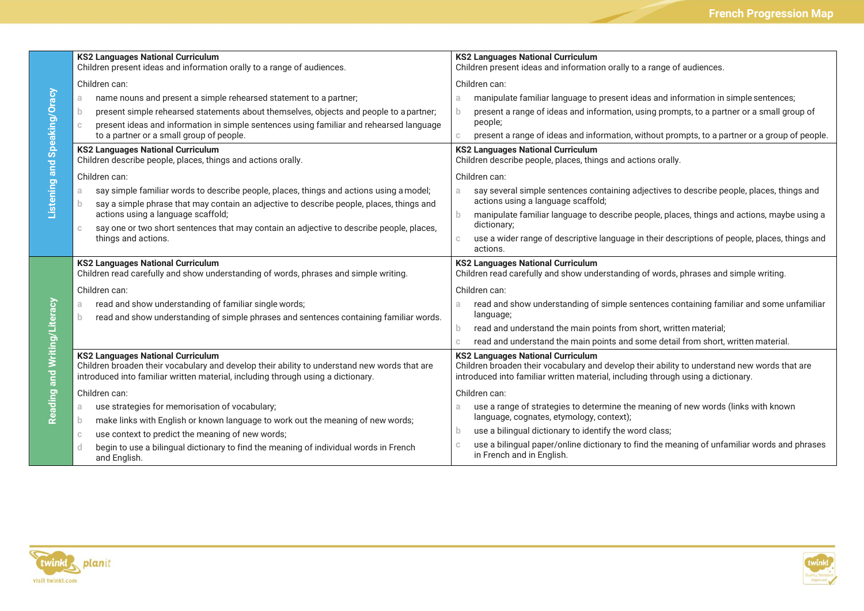|                              | <b>KS2 Languages National Curriculum</b><br>Children present ideas and information orally to a range of audiences.                                                               | <b>KS2 Languages National Curriculum</b><br>Children present ideas and information orally to a range of audiences.                                                               |  |
|------------------------------|----------------------------------------------------------------------------------------------------------------------------------------------------------------------------------|----------------------------------------------------------------------------------------------------------------------------------------------------------------------------------|--|
|                              | Children can:                                                                                                                                                                    | Children can:                                                                                                                                                                    |  |
| Listening and Speaking/Oracy | name nouns and present a simple rehearsed statement to a partner;<br>a.                                                                                                          | manipulate familiar language to present ideas and information in simple sentences;<br>a                                                                                          |  |
|                              | present simple rehearsed statements about themselves, objects and people to a partner;<br>b.                                                                                     | present a range of ideas and information, using prompts, to a partner or a small group of<br>b                                                                                   |  |
|                              | present ideas and information in simple sentences using familiar and rehearsed language<br>$\mathbb{C}$                                                                          | people;                                                                                                                                                                          |  |
|                              | to a partner or a small group of people.                                                                                                                                         | present a range of ideas and information, without prompts, to a partner or a group of people.<br>$\mathbb{C}$                                                                    |  |
|                              | <b>KS2 Languages National Curriculum</b><br>Children describe people, places, things and actions orally.                                                                         | <b>KS2 Languages National Curriculum</b><br>Children describe people, places, things and actions orally.                                                                         |  |
|                              | Children can:                                                                                                                                                                    | Children can:                                                                                                                                                                    |  |
|                              | say simple familiar words to describe people, places, things and actions using a model;<br>a.                                                                                    | say several simple sentences containing adjectives to describe people, places, things and<br>a.                                                                                  |  |
|                              | say a simple phrase that may contain an adjective to describe people, places, things and<br>$\mathbf{D}$                                                                         | actions using a language scaffold;                                                                                                                                               |  |
|                              | actions using a language scaffold;                                                                                                                                               | manipulate familiar language to describe people, places, things and actions, maybe using a<br>$\mathbf b$<br>dictionary;                                                         |  |
|                              | say one or two short sentences that may contain an adjective to describe people, places,<br>$\mathbb{C}$<br>things and actions.                                                  | use a wider range of descriptive language in their descriptions of people, places, things and<br>$\mathbb C$<br>actions.                                                         |  |
|                              |                                                                                                                                                                                  |                                                                                                                                                                                  |  |
|                              | <b>KS2 Languages National Curriculum</b>                                                                                                                                         | <b>KS2 Languages National Curriculum</b>                                                                                                                                         |  |
|                              | Children read carefully and show understanding of words, phrases and simple writing.                                                                                             | Children read carefully and show understanding of words, phrases and simple writing.                                                                                             |  |
|                              | Children can:                                                                                                                                                                    | Children can:                                                                                                                                                                    |  |
|                              | read and show understanding of familiar single words;<br>a.                                                                                                                      | read and show understanding of simple sentences containing familiar and some unfamiliar<br>a                                                                                     |  |
|                              | read and show understanding of simple phrases and sentences containing familiar words.<br>b.                                                                                     | language;                                                                                                                                                                        |  |
|                              |                                                                                                                                                                                  | read and understand the main points from short, written material;<br>$\mathbf b$                                                                                                 |  |
|                              |                                                                                                                                                                                  | read and understand the main points and some detail from short, written material.<br>$\mathbb{C}$                                                                                |  |
| Literacy                     | <b>KS2 Languages National Curriculum</b>                                                                                                                                         | <b>KS2 Languages National Curriculum</b>                                                                                                                                         |  |
|                              | Children broaden their vocabulary and develop their ability to understand new words that are<br>introduced into familiar written material, including through using a dictionary. | Children broaden their vocabulary and develop their ability to understand new words that are<br>introduced into familiar written material, including through using a dictionary. |  |
|                              | Children can:                                                                                                                                                                    | Children can:                                                                                                                                                                    |  |
|                              | use strategies for memorisation of vocabulary;<br>a.                                                                                                                             | use a range of strategies to determine the meaning of new words (links with known<br>a                                                                                           |  |
| Reading and Writing/         | make links with English or known language to work out the meaning of new words;<br>b.                                                                                            | language, cognates, etymology, context);                                                                                                                                         |  |
|                              | use context to predict the meaning of new words;<br>$\mathbb{C}$                                                                                                                 | use a bilingual dictionary to identify the word class;<br>$\overline{D}$<br>use a bilingual paper/online dictionary to find the meaning of unfamiliar words and phrases          |  |



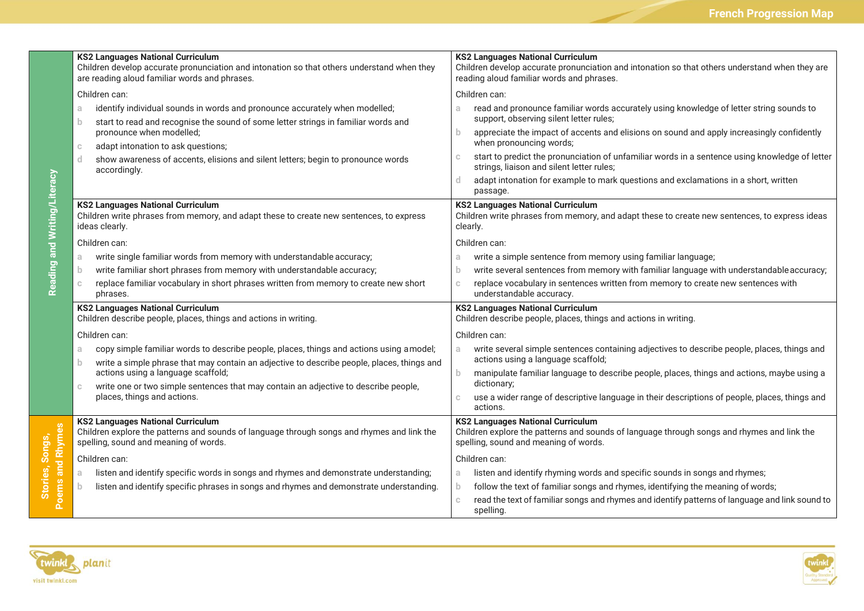|                              | <b>KS2 Languages National Curriculum</b><br>Children develop accurate pronunciation and intonation so that others understand when they<br>are reading aloud familiar words and phrases.            | <b>KS2 Languages National Curriculum</b><br>Children develop accurate pronunciation and intonation so that others understand when they are<br>reading aloud familiar words and phrases. |  |  |
|------------------------------|----------------------------------------------------------------------------------------------------------------------------------------------------------------------------------------------------|-----------------------------------------------------------------------------------------------------------------------------------------------------------------------------------------|--|--|
|                              | Children can:                                                                                                                                                                                      | Children can:                                                                                                                                                                           |  |  |
| Reading and Writing/Literacy | identify individual sounds in words and pronounce accurately when modelled;<br>a.<br>start to read and recognise the sound of some letter strings in familiar words and<br>b.                      | read and pronounce familiar words accurately using knowledge of letter string sounds to<br>a.<br>support, observing silent letter rules;                                                |  |  |
|                              | pronounce when modelled;<br>adapt intonation to ask questions;<br>$\mathbb C$<br>d<br>show awareness of accents, elisions and silent letters; begin to pronounce words<br>accordingly.             | appreciate the impact of accents and elisions on sound and apply increasingly confidently<br>b.<br>when pronouncing words;                                                              |  |  |
|                              |                                                                                                                                                                                                    | start to predict the pronunciation of unfamiliar words in a sentence using knowledge of letter<br>C.<br>strings, liaison and silent letter rules;                                       |  |  |
|                              |                                                                                                                                                                                                    | adapt intonation for example to mark questions and exclamations in a short, written<br>d.<br>passage.                                                                                   |  |  |
|                              | <b>KS2 Languages National Curriculum</b><br>Children write phrases from memory, and adapt these to create new sentences, to express<br>ideas clearly.                                              | <b>KS2 Languages National Curriculum</b><br>Children write phrases from memory, and adapt these to create new sentences, to express ideas<br>clearly.                                   |  |  |
|                              | Children can:                                                                                                                                                                                      | Children can:                                                                                                                                                                           |  |  |
|                              | write single familiar words from memory with understandable accuracy;<br>a.                                                                                                                        | write a simple sentence from memory using familiar language;<br>a.                                                                                                                      |  |  |
|                              | write familiar short phrases from memory with understandable accuracy;<br>b                                                                                                                        | write several sentences from memory with familiar language with understandable accuracy;<br>b.                                                                                          |  |  |
|                              | replace familiar vocabulary in short phrases written from memory to create new short<br>phrases.                                                                                                   | replace vocabulary in sentences written from memory to create new sentences with<br>$\mathbb{C}$<br>understandable accuracy.                                                            |  |  |
|                              | <b>KS2 Languages National Curriculum</b><br>Children describe people, places, things and actions in writing.                                                                                       | <b>KS2 Languages National Curriculum</b><br>Children describe people, places, things and actions in writing.                                                                            |  |  |
|                              | Children can:                                                                                                                                                                                      | Children can:                                                                                                                                                                           |  |  |
|                              | copy simple familiar words to describe people, places, things and actions using a model;<br>a.<br>write a simple phrase that may contain an adjective to describe people, places, things and<br>b. | write several simple sentences containing adjectives to describe people, places, things and<br>a.<br>actions using a language scaffold;                                                 |  |  |
|                              | actions using a language scaffold;<br>write one or two simple sentences that may contain an adjective to describe people,<br>places, things and actions.                                           | $\mathbf{b}$<br>manipulate familiar language to describe people, places, things and actions, maybe using a<br>dictionary;                                                               |  |  |
|                              |                                                                                                                                                                                                    | use a wider range of descriptive language in their descriptions of people, places, things and<br>actions.                                                                               |  |  |
| and Rhymes<br>oems           | <b>KS2 Languages National Curriculum</b><br>Children explore the patterns and sounds of language through songs and rhymes and link the<br>spelling, sound and meaning of words.                    | <b>KS2 Languages National Curriculum</b><br>Children explore the patterns and sounds of language through songs and rhymes and link the<br>spelling, sound and meaning of words.         |  |  |
|                              | Children can:                                                                                                                                                                                      | Children can:                                                                                                                                                                           |  |  |
|                              | listen and identify specific words in songs and rhymes and demonstrate understanding;<br>a                                                                                                         | listen and identify rhyming words and specific sounds in songs and rhymes;<br>a                                                                                                         |  |  |
|                              | listen and identify specific phrases in songs and rhymes and demonstrate understanding.<br>b.                                                                                                      | follow the text of familiar songs and rhymes, identifying the meaning of words;<br>b.                                                                                                   |  |  |
| $\Delta$                     |                                                                                                                                                                                                    | read the text of familiar songs and rhymes and identify patterns of language and link sound to<br>spelling.                                                                             |  |  |



**Stories, Songs,** 

Stories, Songs,